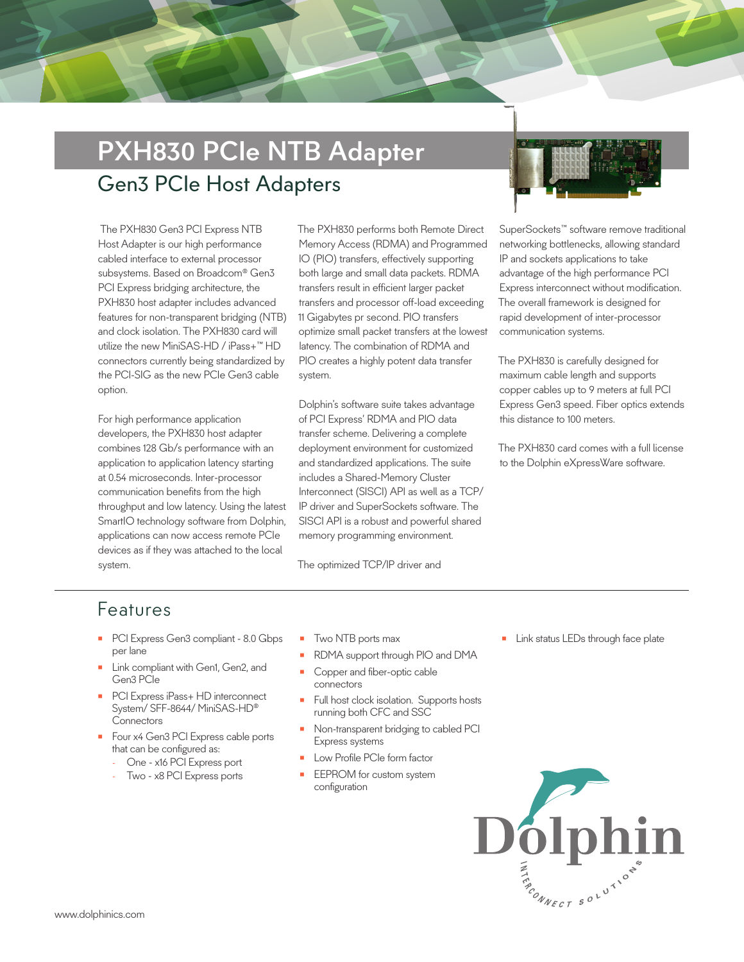# PXH830 PCIe NTB Adapter Gen3 PCIe Host Adapters

 The PXH830 Gen3 PCI Express NTB Host Adapter is our high performance cabled interface to external processor subsystems. Based on Broadcom® Gen3 PCI Express bridging architecture, the PXH830 host adapter includes advanced features for non-transparent bridging (NTB) and clock isolation. The PXH830 card will utilize the new MiniSAS-HD / iPass+™ HD connectors currently being standardized by the PCI-SIG as the new PCIe Gen3 cable option.

For high performance application developers, the PXH830 host adapter combines 128 Gb/s performance with an application to application latency starting at 0.54 microseconds. Inter-processor communication benefits from the high throughput and low latency. Using the latest SmartIO technology software from Dolphin, applications can now access remote PCIe devices as if they was attached to the local system.

The PXH830 performs both Remote Direct Memory Access (RDMA) and Programmed IO (PIO) transfers, effectively supporting both large and small data packets. RDMA transfers result in efficient larger packet transfers and processor off-load exceeding 11 Gigabytes pr second. PIO transfers optimize small packet transfers at the lowest latency. The combination of RDMA and PIO creates a highly potent data transfer system.

Dolphin's software suite takes advantage of PCI Express' RDMA and PIO data transfer scheme. Delivering a complete deployment environment for customized and standardized applications. The suite includes a Shared-Memory Cluster Interconnect (SISCI) API as well as a TCP/ IP driver and SuperSockets software. The SISCI API is a robust and powerful shared memory programming environment.

The optimized TCP/IP driver and



SuperSockets™ software remove traditional networking bottlenecks, allowing standard IP and sockets applications to take advantage of the high performance PCI Express interconnect without modification. The overall framework is designed for rapid development of inter-processor communication systems.

The PXH830 is carefully designed for maximum cable length and supports copper cables up to 9 meters at full PCI Express Gen3 speed. Fiber optics extends this distance to 100 meters.

The PXH830 card comes with a full license to the Dolphin eXpressWare software.

#### Features

- PCI Express Gen3 compliant 8.0 Gbps per lane
- Link compliant with Gen1, Gen2, and Gen3 PCIe
- PCI Express iPass+ HD interconnect System/ SFF-8644/ MiniSAS-HD® **Connectors**
- Four x4 Gen3 PCI Express cable ports that can be configured as:
	- One x16 PCI Express port
	- Two x8 PCI Express ports
- Two NTB ports max
- RDMA support through PIO and DMA
- Copper and fiber-optic cable connectors
- Full host clock isolation. Supports hosts running both CFC and SSC
- Non-transparent bridging to cabled PCI Express systems
- Low Profile PCIe form factor
- EEPROM for custom system configuration

**Link status LEDs through face plate**